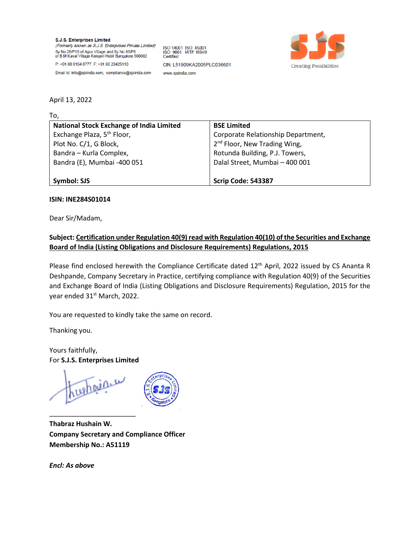S.J.S. Enterprises Limited (Formerly known as S.J.S. Enterprises Private Limited) Sy No 28/P16 of Agra Village and Sy No 85/P6<br>of B.M Kaval Village Kengeri Hobli Bangalore 560082 P: +91 80 6194 0777 F: +91 80 28425110

ISO 14001 ISO 45001 ISO 9001 IATF 16949 CIN: L51909KA2005PLC036601 www.sjsindia.com



Email Id: info@sjsindia.com, compliance@sjsindia.com

## April 13, 2022

To,

| <b>National Stock Exchange of India Limited</b> | <b>BSE Limited</b>                       |
|-------------------------------------------------|------------------------------------------|
| Exchange Plaza, 5 <sup>th</sup> Floor,          | Corporate Relationship Department,       |
| Plot No. C/1, G Block,                          | 2 <sup>nd</sup> Floor, New Trading Wing, |
| Bandra - Kurla Complex,                         | Rotunda Building, P.J. Towers,           |
| Bandra (E), Mumbai -400 051                     | Dalal Street, Mumbai - 400 001           |
|                                                 |                                          |
| Symbol: SJS                                     | <b>Scrip Code: 543387</b>                |

## **ISIN: INE284S01014**

Dear Sir/Madam,

## **Subject: Certification under Regulation 40(9) read with Regulation 40(10) of the Securities and Exchange Board of India (Listing Obligations and Disclosure Requirements) Regulations, 2015**

Please find enclosed herewith the Compliance Certificate dated 12<sup>th</sup> April, 2022 issued by CS Ananta R Deshpande, Company Secretary in Practice, certifying compliance with Regulation 40(9) of the Securities and Exchange Board of India (Listing Obligations and Disclosure Requirements) Regulation, 2015 for the year ended 31<sup>st</sup> March, 2022.

You are requested to kindly take the same on record.

Thanking you.

Yours faithfully, For **S.J.S. Enterprises Limited**

hughaine

\_\_\_\_\_\_\_\_\_\_\_\_\_\_\_\_\_\_\_\_\_\_\_



**Thabraz Hushain W. Company Secretary and Compliance Officer Membership No.: A51119**

*Encl: As above*